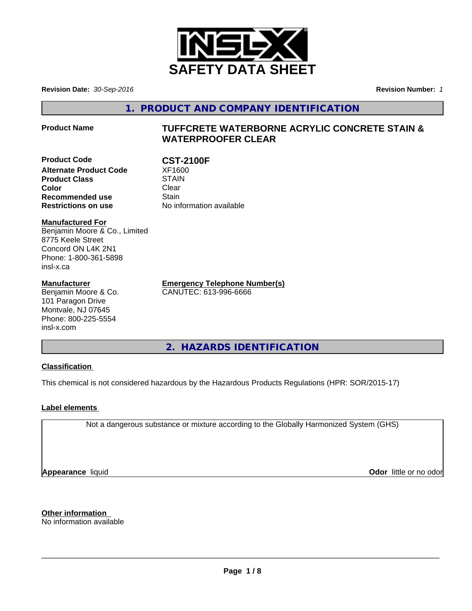

**Revision Date:** *30-Sep-2016* **Revision Number:** *1*

**1. PRODUCT AND COMPANY IDENTIFICATION**

# **Product Name TUFFCRETE WATERBORNE ACRYLIC CONCRETE STAIN & WATERPROOFER CLEAR**

**Product Code CST-2100F**<br>Alternate Product Code XF1600 **Alternate Product Code 5 XF1600**<br>Product Class 5 STAIN **Product Class Color** Clear Clear **Recommended use** Stain **Restrictions on use** No information available

**Manufactured For** Benjamin Moore & Co., Limited 8775 Keele Street Concord ON L4K 2N1 Phone: 1-800-361-5898 insl-x.ca

### **Manufacturer**

Benjamin Moore & Co. 101 Paragon Drive Montvale, NJ 07645 Phone: 800-225-5554 insl-x.com

**Emergency Telephone Number(s)** CANUTEC: 613-996-6666

**2. HAZARDS IDENTIFICATION**

# **Classification**

This chemical is not considered hazardous by the Hazardous Products Regulations (HPR: SOR/2015-17)

# **Label elements**

Not a dangerous substance or mixture according to the Globally Harmonized System (GHS)

**Appearance** liquid

**Odor** little or no odor

**Other information** No information available

 $\overline{\phantom{a}}$  ,  $\overline{\phantom{a}}$  ,  $\overline{\phantom{a}}$  ,  $\overline{\phantom{a}}$  ,  $\overline{\phantom{a}}$  ,  $\overline{\phantom{a}}$  ,  $\overline{\phantom{a}}$  ,  $\overline{\phantom{a}}$  ,  $\overline{\phantom{a}}$  ,  $\overline{\phantom{a}}$  ,  $\overline{\phantom{a}}$  ,  $\overline{\phantom{a}}$  ,  $\overline{\phantom{a}}$  ,  $\overline{\phantom{a}}$  ,  $\overline{\phantom{a}}$  ,  $\overline{\phantom{a}}$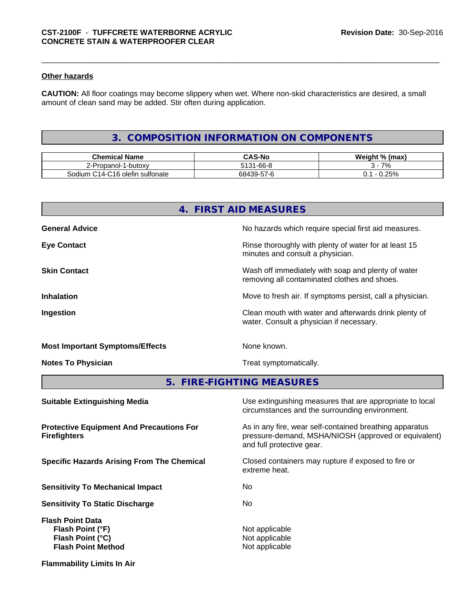### **Other hazards**

**CAUTION:** All floor coatings may become slippery when wet. Where non-skid characteristics are desired, a small amount of clean sand may be added. Stir often during application.

# **3. COMPOSITION INFORMATION ON COMPONENTS**

| <b>Chemical Name</b>                                                       | $\sim$ 11.<br>r۸                         | <b>Weight</b><br>⊦(max)<br>7٥ |
|----------------------------------------------------------------------------|------------------------------------------|-------------------------------|
| -butoxv<br>ำาลทดl- เ<br><u>_</u>                                           | $1 - 66 - 8$<br>5131                     | 7%                            |
| --<br>$\sim$<br>C <sub>16</sub> olefin<br>i sulfonate<br>sodium<br>$.14 -$ | $\sim$<br>$-$<br>684<br>ku-h<br>$11 - r$ | 250/<br>u.                    |

|                                                                                              | 4. FIRST AID MEASURES                                                                                                                        |
|----------------------------------------------------------------------------------------------|----------------------------------------------------------------------------------------------------------------------------------------------|
| <b>General Advice</b>                                                                        | No hazards which require special first aid measures.                                                                                         |
| <b>Eye Contact</b>                                                                           | Rinse thoroughly with plenty of water for at least 15<br>minutes and consult a physician.                                                    |
| <b>Skin Contact</b>                                                                          | Wash off immediately with soap and plenty of water<br>removing all contaminated clothes and shoes.                                           |
| <b>Inhalation</b>                                                                            | Move to fresh air. If symptoms persist, call a physician.                                                                                    |
| <b>Ingestion</b>                                                                             | Clean mouth with water and afterwards drink plenty of<br>water. Consult a physician if necessary.                                            |
| <b>Most Important Symptoms/Effects</b>                                                       | None known.                                                                                                                                  |
| <b>Notes To Physician</b>                                                                    | Treat symptomatically.                                                                                                                       |
| 5.                                                                                           | <b>FIRE-FIGHTING MEASURES</b>                                                                                                                |
| <b>Suitable Extinguishing Media</b>                                                          | Use extinguishing measures that are appropriate to local<br>circumstances and the surrounding environment.                                   |
| <b>Protective Equipment And Precautions For</b><br><b>Firefighters</b>                       | As in any fire, wear self-contained breathing apparatus<br>pressure-demand, MSHA/NIOSH (approved or equivalent)<br>and full protective gear. |
| <b>Specific Hazards Arising From The Chemical</b>                                            | Closed containers may rupture if exposed to fire or<br>extreme heat.                                                                         |
| <b>Sensitivity To Mechanical Impact</b>                                                      | No.                                                                                                                                          |
| <b>Sensitivity To Static Discharge</b>                                                       | No.                                                                                                                                          |
| <b>Flash Point Data</b><br>Flash Point (°F)<br>Flash Point (°C)<br><b>Flash Point Method</b> | Not applicable<br>Not applicable<br>Not applicable                                                                                           |

**Flammability Limits In Air**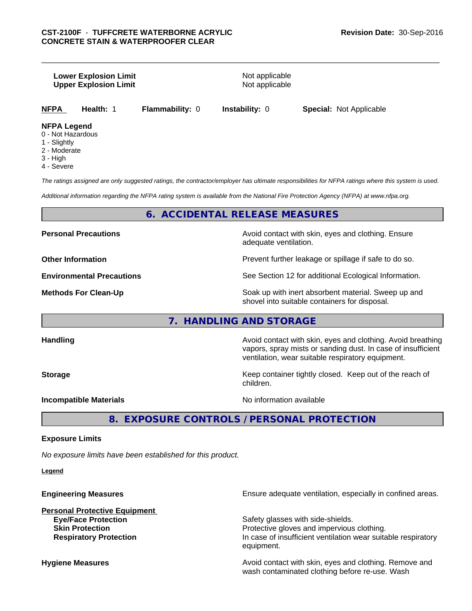### **Lower Explosion Limit Not applicable** Not applicable **Upper Explosion Limit** Not applicable

**NFPA Health:** 1 **Flammability:** 0 **Instability:** 0 **Special:** Not Applicable

# **NFPA Legend**

- 0 Not Hazardous
- 1 Slightly
- 2 Moderate
- 3 High
- 4 Severe

*The ratings assigned are only suggested ratings, the contractor/employer has ultimate responsibilities for NFPA ratings where this system is used.*

*Additional information regarding the NFPA rating system is available from the National Fire Protection Agency (NFPA) at www.nfpa.org.*

# **6. ACCIDENTAL RELEASE MEASURES**

**Personal Precautions Avoid contact with skin, eyes and clothing. Ensure** Avoid contact with skin, eyes and clothing. Ensure adequate ventilation.

**Other Information Discription Prevent further leakage or spillage if safe to do so.** 

**Environmental Precautions** See Section 12 for additional Ecological Information.

**Methods For Clean-Up Soak** up with inert absorbent material. Sweep up and shovel into suitable containers for disposal.

# **7. HANDLING AND STORAGE**

**Handling Handling Avoid contact with skin, eyes and clothing. Avoid breathing** vapors, spray mists or sanding dust. In case of insufficient ventilation, wear suitable respiratory equipment.

**Storage Keep container tightly closed. Keep out of the reach of Keep** container tightly closed. Keep out of the reach of children.

**Incompatible Materials Incompatible Materials No information available** 

**8. EXPOSURE CONTROLS / PERSONAL PROTECTION**

### **Exposure Limits**

*No exposure limits have been established for this product.*

**Legend**

| Ensure adequate ventilation, especially in confined areas.                                               |
|----------------------------------------------------------------------------------------------------------|
|                                                                                                          |
| Safety glasses with side-shields.                                                                        |
| Protective gloves and impervious clothing.                                                               |
| In case of insufficient ventilation wear suitable respiratory<br>equipment.                              |
| Avoid contact with skin, eyes and clothing. Remove and<br>wash contaminated clothing before re-use. Wash |
|                                                                                                          |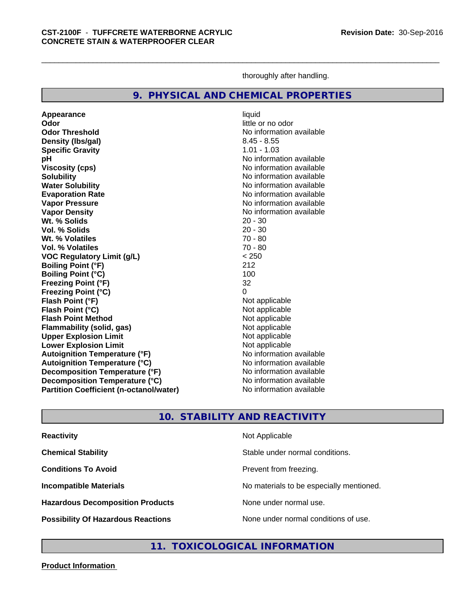thoroughly after handling.

# **9. PHYSICAL AND CHEMICAL PROPERTIES**

**Appearance** liquid<br> **Appearance** liquid<br> **Odor** little c **Odor Threshold No information available No information available Density (Ibs/gal)** 8.45 - 8.55<br> **Specific Gravity** 8.45 - 8.55 **Specific Gravity pH** No information available **Viscosity (cps)** No information available **Solubility No information available No information available Water Solubility** No information available **Evaporation Rate No information available No information available Vapor Pressure** No information available No information available **Vapor Density**<br> **We Solids**<br>
We Solids
20 - 30 **Wt. % Solids Vol. % Solids** 20 - 30 **Wt. % Volatiles** 70 - 80 **Vol. % Volatiles** 70 - 80 **VOC Regulatory Limit (g/L)** < 250 **Boiling Point (°F)** 212 **Boiling Point**  $(^{\circ}C)$  100 **Freezing Point (°F)** 32 **Freezing Point (°C)** 0 **Flash Point (°F)**<br> **Flash Point (°C)**<br> **Flash Point (°C)**<br> **C** Not applicable **Flash Point (°C)**<br> **Flash Point Method**<br> **Flash Point Method**<br> **Point Method**<br> **Point Method**<br> **Point Method Flash Point Method**<br> **Flammability (solid, gas)**<br>
Not applicable<br>
Not applicable **Flammability** (solid, gas) **Upper Explosion Limit**<br> **Lower Explosion Limit**<br> **Lower Explosion Limit Lower Explosion Limit**<br> **Autoignition Temperature (°F)**<br> **Autoignition Temperature (°F)**<br> **Autoignition Temperature (°F) Autoignition Temperature (°F) Autoignition Temperature (°C)** No information available **Decomposition Temperature (°F)** No information available **Decomposition Temperature (°C)** No information available **Partition Coefficient (n-octanol/water)** No information available

**Odor** little or no odor

# **10. STABILITY AND REACTIVITY**

| <b>Reactivity</b>                         | Not Applicable                           |
|-------------------------------------------|------------------------------------------|
| <b>Chemical Stability</b>                 | Stable under normal conditions.          |
| <b>Conditions To Avoid</b>                | Prevent from freezing.                   |
| <b>Incompatible Materials</b>             | No materials to be especially mentioned. |
| <b>Hazardous Decomposition Products</b>   | None under normal use.                   |
| <b>Possibility Of Hazardous Reactions</b> | None under normal conditions of use.     |

**11. TOXICOLOGICAL INFORMATION**

**Product Information**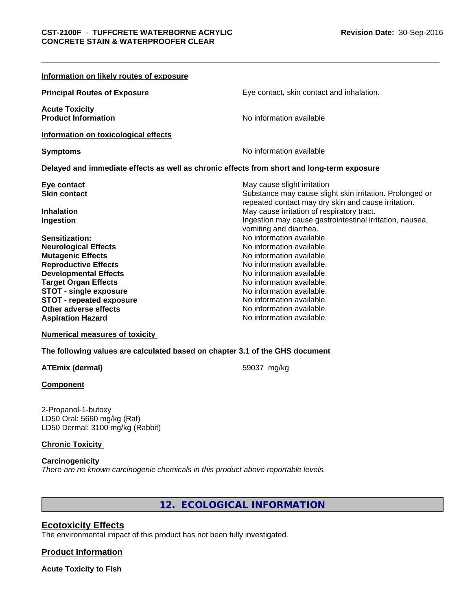| Information on likely routes of exposure                                                   |                                                                                                                 |
|--------------------------------------------------------------------------------------------|-----------------------------------------------------------------------------------------------------------------|
| <b>Principal Routes of Exposure</b>                                                        | Eye contact, skin contact and inhalation.                                                                       |
| <b>Acute Toxicity</b><br><b>Product Information</b>                                        | No information available                                                                                        |
| Information on toxicological effects                                                       |                                                                                                                 |
| <b>Symptoms</b>                                                                            | No information available                                                                                        |
| Delayed and immediate effects as well as chronic effects from short and long-term exposure |                                                                                                                 |
| Eye contact                                                                                | May cause slight irritation                                                                                     |
| <b>Skin contact</b>                                                                        | Substance may cause slight skin irritation. Prolonged or<br>repeated contact may dry skin and cause irritation. |
| <b>Inhalation</b>                                                                          | May cause irritation of respiratory tract.                                                                      |
| Ingestion                                                                                  | Ingestion may cause gastrointestinal irritation, nausea,<br>vomiting and diarrhea.                              |
| Sensitization:                                                                             | No information available.                                                                                       |
| <b>Neurological Effects</b>                                                                | No information available.                                                                                       |
| <b>Mutagenic Effects</b>                                                                   | No information available.                                                                                       |
| <b>Reproductive Effects</b>                                                                | No information available.                                                                                       |
| <b>Developmental Effects</b>                                                               | No information available.                                                                                       |
| <b>Target Organ Effects</b>                                                                | No information available.                                                                                       |
| <b>STOT - single exposure</b>                                                              | No information available.                                                                                       |
| <b>STOT - repeated exposure</b>                                                            | No information available.                                                                                       |
| Other adverse effects                                                                      | No information available.                                                                                       |
| <b>Aspiration Hazard</b>                                                                   | No information available.                                                                                       |
|                                                                                            |                                                                                                                 |

#### **Numerical measures of toxicity**

**The following values are calculated based on chapter 3.1 of the GHS document**

### **ATEmix (dermal)** 59037 mg/kg

### **Component**

2-Propanol-1-butoxy LD50 Oral: 5660 mg/kg (Rat) LD50 Dermal: 3100 mg/kg (Rabbit)

### **Chronic Toxicity**

**Carcinogenicity** *There are no known carcinogenic chemicals in this product above reportable levels.*

**12. ECOLOGICAL INFORMATION**

# **Ecotoxicity Effects**

The environmental impact of this product has not been fully investigated.

# **Product Information**

**Acute Toxicity to Fish**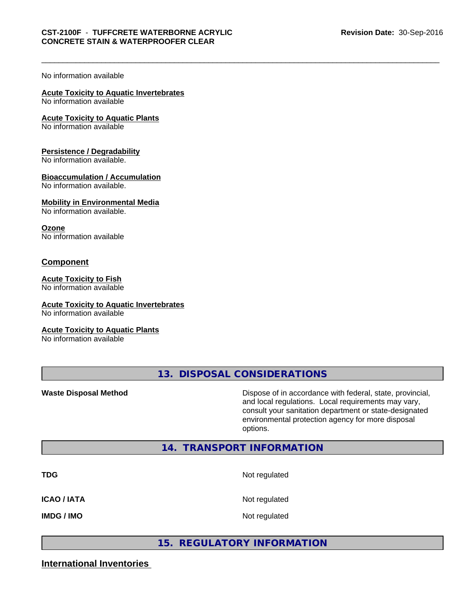### No information available

#### **Acute Toxicity to Aquatic Invertebrates**

No information available

#### **Acute Toxicity to Aquatic Plants**

No information available

### **Persistence / Degradability**

No information available.

### **Bioaccumulation / Accumulation**

No information available.

#### **Mobility in Environmental Media**

No information available.

#### **Ozone**

No information available

### **Component**

#### **Acute Toxicity to Fish**

No information available

### **Acute Toxicity to Aquatic Invertebrates**

No information available

### **Acute Toxicity to Aquatic Plants**

No information available

**13. DISPOSAL CONSIDERATIONS**

**Waste Disposal Method Dispose of in accordance with federal, state, provincial,** and local regulations. Local requirements may vary, consult your sanitation department or state-designated environmental protection agency for more disposal options.

# **14. TRANSPORT INFORMATION**

| TDG         | Not regulated |
|-------------|---------------|
| ICAO / IATA | Not regulated |
| IMDG / IMO  | Not regulated |

# **15. REGULATORY INFORMATION**

# **International Inventories**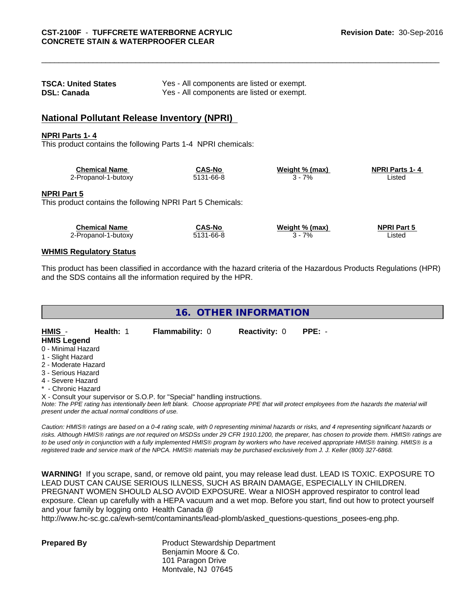| <b>TSCA: United States</b> | Yes - All components are listed or exempt. |
|----------------------------|--------------------------------------------|
| <b>DSL: Canada</b>         | Yes - All components are listed or exempt. |

# **National Pollutant Release Inventory (NPRI)**

#### **NPRI Parts 1- 4**

This product contains the following Parts 1-4 NPRI chemicals:

| <b>Chemical Name</b> | <b>CAS-No</b> | Weight % (max) | <b>NPRI Parts 1-4</b> |  |
|----------------------|---------------|----------------|-----------------------|--|
| 2-Propanol-1-butoxy  | 5131-66-8     | 7%             | _isted                |  |

#### **NPRI Part 5**

This product contains the following NPRI Part 5 Chemicals:

| <b>Chemical Name</b> | <b>CAS-No</b> | Weight % (max) | <b>NPRI Part 5</b> |  |
|----------------------|---------------|----------------|--------------------|--|
| ∠-Propanol-1-butoxy  | 5131-66-8     | 7%             | Listed             |  |

#### **WHMIS Regulatory Status**

This product has been classified in accordance with the hazard criteria of the Hazardous Products Regulations (HPR) and the SDS contains all the information required by the HPR.

**16. OTHER INFORMATION**

| HMIS                | Health: 1 | <b>Flammability: 0</b>                                                     | <b>Reactivity: 0</b> | $PPE: -$                                                                                                                                      |
|---------------------|-----------|----------------------------------------------------------------------------|----------------------|-----------------------------------------------------------------------------------------------------------------------------------------------|
| <b>HMIS Legend</b>  |           |                                                                            |                      |                                                                                                                                               |
| 0 - Minimal Hazard  |           |                                                                            |                      |                                                                                                                                               |
| 1 - Slight Hazard   |           |                                                                            |                      |                                                                                                                                               |
| 2 - Moderate Hazard |           |                                                                            |                      |                                                                                                                                               |
| 3 - Serious Hazard  |           |                                                                            |                      |                                                                                                                                               |
| 4 - Severe Hazard   |           |                                                                            |                      |                                                                                                                                               |
| * - Chronic Hazard  |           |                                                                            |                      |                                                                                                                                               |
|                     |           | X - Consult your supervisor or S.O.P. for "Special" handling instructions. |                      |                                                                                                                                               |
|                     |           |                                                                            |                      | Note: The PPF rating has intentionally been left blank. Choose appropriate PPF that will protect employees from the hazards the material will |

*Note: The PPE rating has intentionally been left blank. Choose appropriate PPE that will protect employees from the hazards the material will present under the actual normal conditions of use.*

*Caution: HMISÒ ratings are based on a 0-4 rating scale, with 0 representing minimal hazards or risks, and 4 representing significant hazards or risks. Although HMISÒ ratings are not required on MSDSs under 29 CFR 1910.1200, the preparer, has chosen to provide them. HMISÒ ratings are to be used only in conjunction with a fully implemented HMISÒ program by workers who have received appropriate HMISÒ training. HMISÒ is a registered trade and service mark of the NPCA. HMISÒ materials may be purchased exclusively from J. J. Keller (800) 327-6868.*

**WARNING!** If you scrape, sand, or remove old paint, you may release lead dust. LEAD IS TOXIC. EXPOSURE TO LEAD DUST CAN CAUSE SERIOUS ILLNESS, SUCH AS BRAIN DAMAGE, ESPECIALLY IN CHILDREN. PREGNANT WOMEN SHOULD ALSO AVOID EXPOSURE. Wear a NIOSH approved respirator to control lead exposure. Clean up carefully with a HEPA vacuum and a wet mop. Before you start, find out how to protect yourself and your family by logging onto Health Canada @

http://www.hc-sc.gc.ca/ewh-semt/contaminants/lead-plomb/asked\_questions-questions\_posees-eng.php.

**Prepared By** Product Stewardship Department Benjamin Moore & Co. 101 Paragon Drive Montvale, NJ 07645